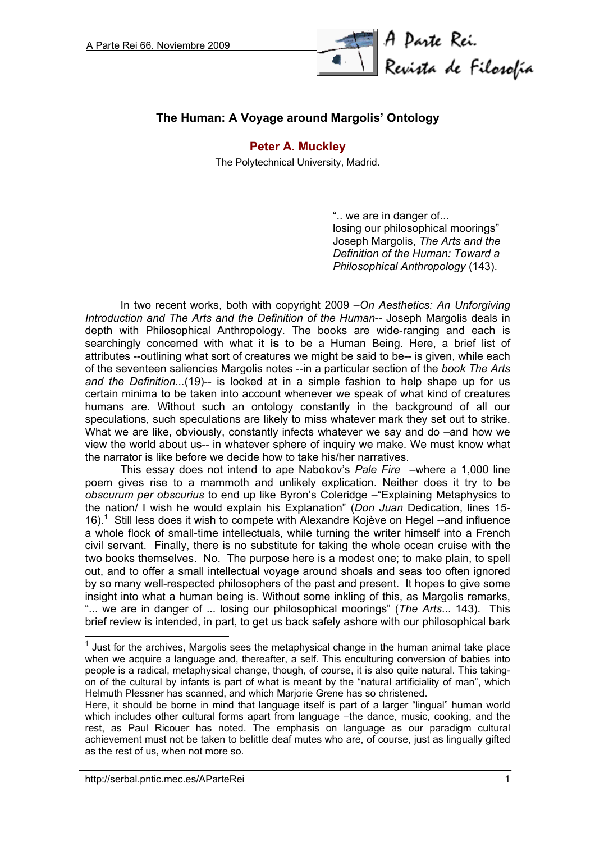

# **The Human: A Voyage around Margolis' Ontology**

### **[Peter A. Muckley](http://serbal.pntic.mec.es/~cmunoz11/fuks.html#Muckley)**

The Polytechnical University, Madrid.

".. we are in danger of... losing our philosophical moorings" Joseph Margolis, *The Arts and the Definition of the Human: Toward a Philosophical Anthropology* (143).

In two recent works, both with copyright 2009 –*On Aesthetics: An Unforgiving Introduction and The Arts and the Definition of the Human*-- Joseph Margolis deals in depth with Philosophical Anthropology. The books are wide-ranging and each is searchingly concerned with what it **is** to be a Human Being. Here, a brief list of attributes --outlining what sort of creatures we might be said to be-- is given, while each of the seventeen saliencies Margolis notes --in a particular section of the *book The Arts and the Definition...*(19)-- is looked at in a simple fashion to help shape up for us certain minima to be taken into account whenever we speak of what kind of creatures humans are. Without such an ontology constantly in the background of all our speculations, such speculations are likely to miss whatever mark they set out to strike. What we are like, obviously, constantly infects whatever we say and do –and how we view the world about us-- in whatever sphere of inquiry we make. We must know what the narrator is like before we decide how to take his/her narratives.

This essay does not intend to ape Nabokov's *Pale Fire* –where a 1,000 line poem gives rise to a mammoth and unlikely explication. Neither does it try to be *obscurum per obscurius* to end up like Byron's Coleridge –"Explaining Metaphysics to the nation/ I wish he would explain his Explanation" (*Don Juan* Dedication, lines 15- 16).<sup>1</sup> Still less does it wish to compete with Alexandre Kojève on Hegel  $-$ and influence a whole flock of small-time intellectuals, while turning the writer himself into a French civil servant. Finally, there is no substitute for taking the whole ocean cruise with the two books themselves. No. The purpose here is a modest one; to make plain, to spell out, and to offer a small intellectual voyage around shoals and seas too often ignored by so many well-respected philosophers of the past and present. It hopes to give some insight into what a human being is. Without some inkling of this, as Margolis remarks, "... we are in danger of ... losing our philosophical moorings" (*The Arts*... 143). This brief review is intended, in part, to get us back safely ashore with our philosophical bark

 $<sup>1</sup>$  Just for the archives, Margolis sees the metaphysical change in the human animal take place</sup> when we acquire a language and, thereafter, a self. This enculturing conversion of babies into people is a radical, metaphysical change, though, of course, it is also quite natural. This takingon of the cultural by infants is part of what is meant by the "natural artificiality of man", which Helmuth Plessner has scanned, and which Marjorie Grene has so christened.

Here, it should be borne in mind that language itself is part of a larger "lingual" human world which includes other cultural forms apart from language –the dance, music, cooking, and the rest, as Paul Ricouer has noted. The emphasis on language as our paradigm cultural achievement must not be taken to belittle deaf mutes who are, of course, just as lingually gifted as the rest of us, when not more so.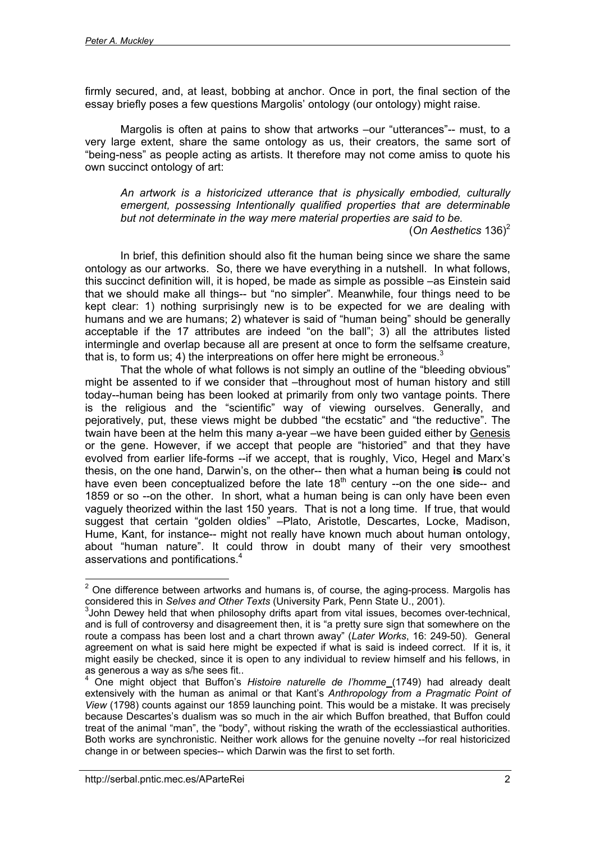firmly secured, and, at least, bobbing at anchor. Once in port, the final section of the essay briefly poses a few questions Margolis' ontology (our ontology) might raise.

Margolis is often at pains to show that artworks –our "utterances"-- must, to a very large extent, share the same ontology as us, their creators, the same sort of "being-ness" as people acting as artists. It therefore may not come amiss to quote his own succinct ontology of art:

*An artwork is a historicized utterance that is physically embodied, culturally emergent, possessing Intentionally qualified properties that are determinable but not determinate in the way mere material properties are said to be.*

(*On Aesthetics* 136)2

In brief, this definition should also fit the human being since we share the same ontology as our artworks. So, there we have everything in a nutshell. In what follows, this succinct definition will, it is hoped, be made as simple as possible –as Einstein said that we should make all things-- but "no simpler". Meanwhile, four things need to be kept clear: 1) nothing surprisingly new is to be expected for we are dealing with humans and we are humans; 2) whatever is said of "human being" should be generally acceptable if the 17 attributes are indeed "on the ball"; 3) all the attributes listed intermingle and overlap because all are present at once to form the selfsame creature, that is, to form us; 4) the interpreations on offer here might be erroneous.<sup>3</sup>

That the whole of what follows is not simply an outline of the "bleeding obvious" might be assented to if we consider that –throughout most of human history and still today--human being has been looked at primarily from only two vantage points. There is the religious and the "scientific" way of viewing ourselves. Generally, and pejoratively, put, these views might be dubbed "the ecstatic" and "the reductive". The twain have been at the helm this many a-year –we have been guided either by Genesis or the gene. However, if we accept that people are "historied" and that they have evolved from earlier life-forms --if we accept, that is roughly, Vico, Hegel and Marx's thesis, on the one hand, Darwin's, on the other-- then what a human being **is** could not have even been conceptualized before the late  $18<sup>th</sup>$  century --on the one side-- and 1859 or so --on the other. In short, what a human being is can only have been even vaguely theorized within the last 150 years. That is not a long time. If true, that would suggest that certain "golden oldies" –Plato, Aristotle, Descartes, Locke, Madison, Hume, Kant, for instance-- might not really have known much about human ontology, about "human nature". It could throw in doubt many of their very smoothest asservations and pontifications.4

**ENEVALLE 2**<br>
<sup>2</sup> One difference between artworks and humans is, of course, the aging-process. Margolis has considered this in *Selves and Other Texts* (University Park, Penn State U., 2001).

 $3$ John Dewey held that when philosophy drifts apart from vital issues, becomes over-technical, and is full of controversy and disagreement then, it is "a pretty sure sign that somewhere on the route a compass has been lost and a chart thrown away" (*Later Works*, 16: 249-50). General agreement on what is said here might be expected if what is said is indeed correct. If it is, it might easily be checked, since it is open to any individual to review himself and his fellows, in as generous a way as s/he sees fit..

<sup>4</sup> One might object that Buffon's *Histoire naturelle de l'homme* (1749) had already dealt extensively with the human as animal or that Kant's *Anthropology from a Pragmatic Point of View* (1798) counts against our 1859 launching point. This would be a mistake. It was precisely because Descartes's dualism was so much in the air which Buffon breathed, that Buffon could treat of the animal "man", the "body", without risking the wrath of the ecclessiastical authorities. Both works are synchronistic. Neither work allows for the genuine novelty --for real historicized change in or between species-- which Darwin was the first to set forth.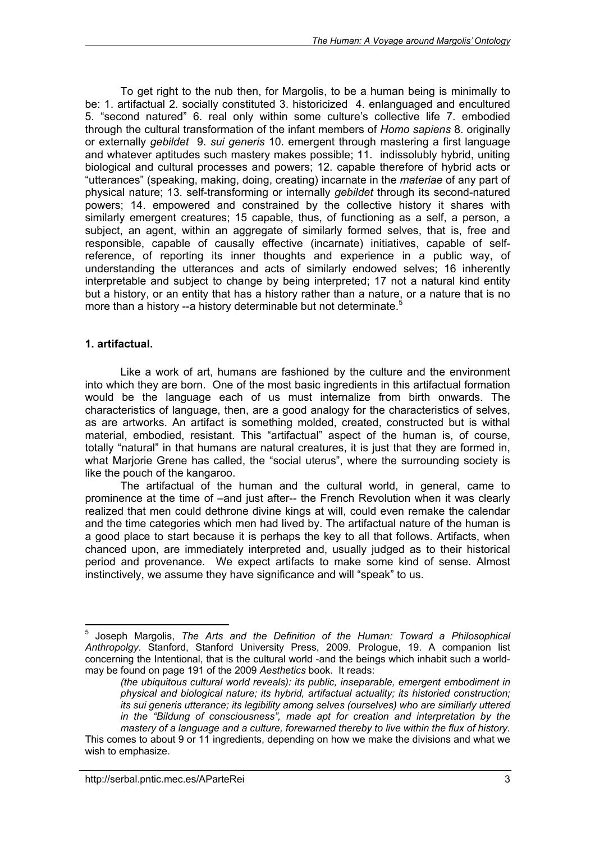To get right to the nub then, for Margolis, to be a human being is minimally to be: 1. artifactual 2. socially constituted 3. historicized 4. enlanguaged and encultured 5. "second natured" 6. real only within some culture's collective life 7. embodied through the cultural transformation of the infant members of *Homo sapiens* 8. originally or externally *gebildet* 9. *sui generis* 10. emergent through mastering a first language and whatever aptitudes such mastery makes possible; 11. indissolubly hybrid, uniting biological and cultural processes and powers; 12. capable therefore of hybrid acts or "utterances" (speaking, making, doing, creating) incarnate in the *materiae* of any part of physical nature; 13. self-transforming or internally *gebildet* through its second-natured powers; 14. empowered and constrained by the collective history it shares with similarly emergent creatures; 15 capable, thus, of functioning as a self, a person, a subject, an agent, within an aggregate of similarly formed selves, that is, free and responsible, capable of causally effective (incarnate) initiatives, capable of selfreference, of reporting its inner thoughts and experience in a public way, of understanding the utterances and acts of similarly endowed selves; 16 inherently interpretable and subject to change by being interpreted; 17 not a natural kind entity but a history, or an entity that has a history rather than a nature, or a nature that is no more than a history --a history determinable but not determinate.<sup>5</sup>

#### **1. artifactual.**

 $\overline{a}$ 

Like a work of art, humans are fashioned by the culture and the environment into which they are born. One of the most basic ingredients in this artifactual formation would be the language each of us must internalize from birth onwards. The characteristics of language, then, are a good analogy for the characteristics of selves, as are artworks. An artifact is something molded, created, constructed but is withal material, embodied, resistant. This "artifactual" aspect of the human is, of course, totally "natural" in that humans are natural creatures, it is just that they are formed in, what Marjorie Grene has called, the "social uterus", where the surrounding society is like the pouch of the kangaroo.

The artifactual of the human and the cultural world, in general, came to prominence at the time of –and just after-- the French Revolution when it was clearly realized that men could dethrone divine kings at will, could even remake the calendar and the time categories which men had lived by. The artifactual nature of the human is a good place to start because it is perhaps the key to all that follows. Artifacts, when chanced upon, are immediately interpreted and, usually judged as to their historical period and provenance. We expect artifacts to make some kind of sense. Almost instinctively, we assume they have significance and will "speak" to us.

<sup>5</sup> Joseph Margolis, *The Arts and the Definition of the Human: Toward a Philosophical Anthropolgy*. Stanford, Stanford University Press, 2009. Prologue, 19. A companion list concerning the Intentional, that is the cultural world -and the beings which inhabit such a worldmay be found on page 191 of the 2009 *Aesthetics* book. It reads:

*<sup>(</sup>the ubiquitous cultural world reveals): its public, inseparable, emergent embodiment in physical and biological nature; its hybrid, artifactual actuality; its historied construction; its sui generis utterance; its legibility among selves (ourselves) who are similiarly uttered in the "Bildung of consciousness", made apt for creation and interpretation by the mastery of a language and a culture, forewarned thereby to live within the flux of history.* This comes to about 9 or 11 ingredients, depending on how we make the divisions and what we wish to emphasize.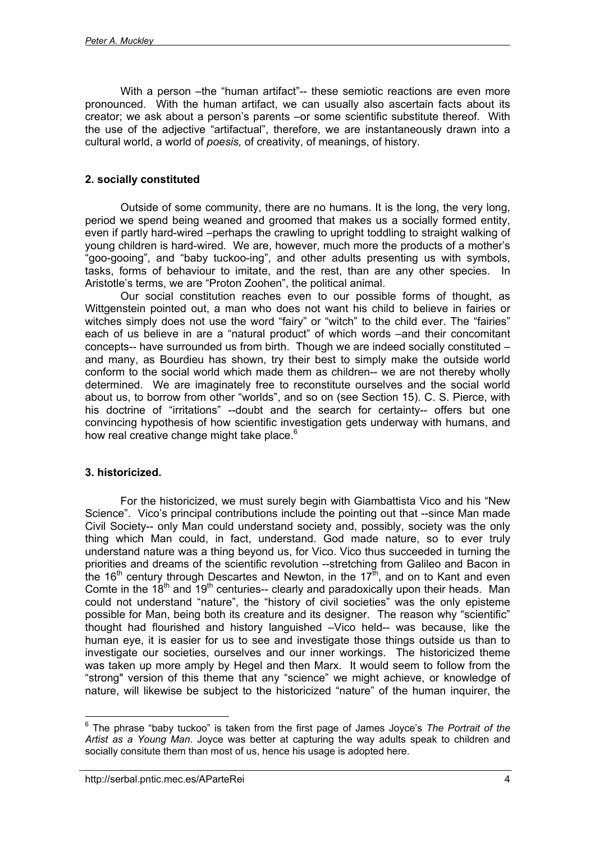With a person –the "human artifact"-- these semiotic reactions are even more pronounced. With the human artifact, we can usually also ascertain facts about its creator; we ask about a person's parents –or some scientific substitute thereof. With the use of the adjective "artifactual", therefore, we are instantaneously drawn into a cultural world, a world of *poesis,* of creativity, of meanings, of history.

## **2. socially constituted**

Outside of some community, there are no humans. It is the long, the very long, period we spend being weaned and groomed that makes us a socially formed entity, even if partly hard-wired –perhaps the crawling to upright toddling to straight walking of young children is hard-wired. We are, however, much more the products of a mother's "goo-gooing", and "baby tuckoo-ing", and other adults presenting us with symbols, tasks, forms of behaviour to imitate, and the rest, than are any other species. In Aristotle's terms, we are "Proton Zoohen", the political animal.

Our social constitution reaches even to our possible forms of thought, as Wittgenstein pointed out, a man who does not want his child to believe in fairies or witches simply does not use the word "fairy" or "witch" to the child ever. The "fairies" each of us believe in are a "natural product" of which words –and their concomitant concepts-- have surrounded us from birth. Though we are indeed socially constituted – and many, as Bourdieu has shown, try their best to simply make the outside world conform to the social world which made them as children-- we are not thereby wholly determined. We are imaginately free to reconstitute ourselves and the social world about us, to borrow from other "worlds", and so on (see Section 15). C. S. Pierce, with his doctrine of "irritations" --doubt and the search for certainty-- offers but one convincing hypothesis of how scientific investigation gets underway with humans, and how real creative change might take place. $6$ 

## **3. historicized.**

For the historicized, we must surely begin with Giambattista Vico and his "New Science". Vico's principal contributions include the pointing out that --since Man made Civil Society-- only Man could understand society and, possibly, society was the only thing which Man could, in fact, understand. God made nature, so to ever truly understand nature was a thing beyond us, for Vico. Vico thus succeeded in turning the priorities and dreams of the scientific revolution --stretching from Galileo and Bacon in the 16<sup>th</sup> century through Descartes and Newton, in the 17<sup>th</sup>, and on to Kant and even Comte in the  $18<sup>th</sup>$  and  $19<sup>th</sup>$  centuries-- clearly and paradoxically upon their heads. Man could not understand "nature", the "history of civil societies" was the only episteme possible for Man, being both its creature and its designer. The reason why "scientific" thought had flourished and history languished –Vico held-- was because, like the human eye, it is easier for us to see and investigate those things outside us than to investigate our societies, ourselves and our inner workings. The historicized theme was taken up more amply by Hegel and then Marx. It would seem to follow from the "strong" version of this theme that any "science" we might achieve, or knowledge of nature, will likewise be subject to the historicized "nature" of the human inquirer, the

 6 The phrase "baby tuckoo" is taken from the first page of James Joyce's *The Portrait of the Artist as a Young Man*. Joyce was better at capturing the way adults speak to children and socially consitute them than most of us, hence his usage is adopted here.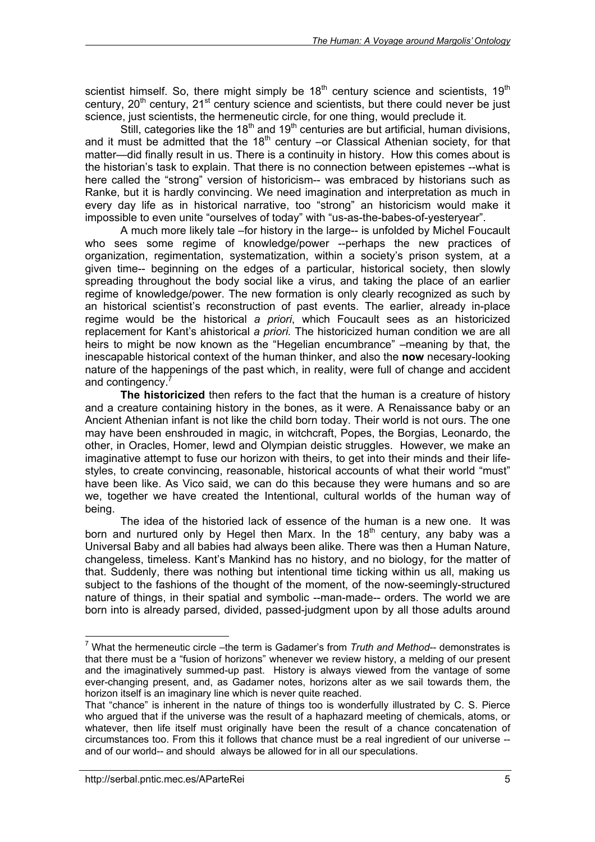scientist himself. So, there might simply be  $18<sup>th</sup>$  century science and scientists,  $19<sup>th</sup>$ century,  $20<sup>th</sup>$  century,  $21<sup>st</sup>$  century science and scientists, but there could never be just science, just scientists, the hermeneutic circle, for one thing, would preclude it.

Still, categories like the 18<sup>th</sup> and 19<sup>th</sup> centuries are but artificial, human divisions, and it must be admitted that the  $18<sup>th</sup>$  century –or Classical Athenian society, for that matter—did finally result in us. There is a continuity in history. How this comes about is the historian's task to explain. That there is no connection between epistemes --what is here called the "strong" version of historicism-- was embraced by historians such as Ranke, but it is hardly convincing. We need imagination and interpretation as much in every day life as in historical narrative, too "strong" an historicism would make it impossible to even unite "ourselves of today" with "us-as-the-babes-of-yesteryear".

A much more likely tale –for history in the large-- is unfolded by Michel Foucault who sees some regime of knowledge/power --perhaps the new practices of organization, regimentation, systematization, within a society's prison system, at a given time-- beginning on the edges of a particular, historical society, then slowly spreading throughout the body social like a virus, and taking the place of an earlier regime of knowledge/power. The new formation is only clearly recognized as such by an historical scientist's reconstruction of past events. The earlier, already in-place regime would be the historical *a priori*, which Foucault sees as an historicized replacement for Kant's ahistorical *a priori.* The historicized human condition we are all heirs to might be now known as the "Hegelian encumbrance" –meaning by that, the inescapable historical context of the human thinker, and also the **now** necesary-looking nature of the happenings of the past which, in reality, were full of change and accident and contingency.

**The historicized** then refers to the fact that the human is a creature of history and a creature containing history in the bones, as it were. A Renaissance baby or an Ancient Athenian infant is not like the child born today. Their world is not ours. The one may have been enshrouded in magic, in witchcraft, Popes, the Borgias, Leonardo, the other, in Oracles, Homer, lewd and Olympian deistic struggles. However, we make an imaginative attempt to fuse our horizon with theirs, to get into their minds and their lifestyles, to create convincing, reasonable, historical accounts of what their world "must" have been like. As Vico said, we can do this because they were humans and so are we, together we have created the Intentional, cultural worlds of the human way of being.

The idea of the historied lack of essence of the human is a new one. It was born and nurtured only by Hegel then Marx. In the  $18<sup>th</sup>$  century, any baby was a Universal Baby and all babies had always been alike. There was then a Human Nature, changeless, timeless. Kant's Mankind has no history, and no biology, for the matter of that. Suddenly, there was nothing but intentional time ticking within us all, making us subject to the fashions of the thought of the moment, of the now-seemingly-structured nature of things, in their spatial and symbolic --man-made-- orders. The world we are born into is already parsed, divided, passed-judgment upon by all those adults around

<sup>&</sup>lt;sup>7</sup> What the hermeneutic circle –the term is Gadamer's from *Truth and Method*-- demonstrates is that there must be a "fusion of horizons" whenever we review history, a melding of our present and the imaginatively summed-up past. History is always viewed from the vantage of some ever-changing present, and, as Gadamer notes, horizons alter as we sail towards them, the horizon itself is an imaginary line which is never quite reached.

That "chance" is inherent in the nature of things too is wonderfully illustrated by C. S. Pierce who argued that if the universe was the result of a haphazard meeting of chemicals, atoms, or whatever, then life itself must originally have been the result of a chance concatenation of circumstances too. From this it follows that chance must be a real ingredient of our universe - and of our world-- and should always be allowed for in all our speculations.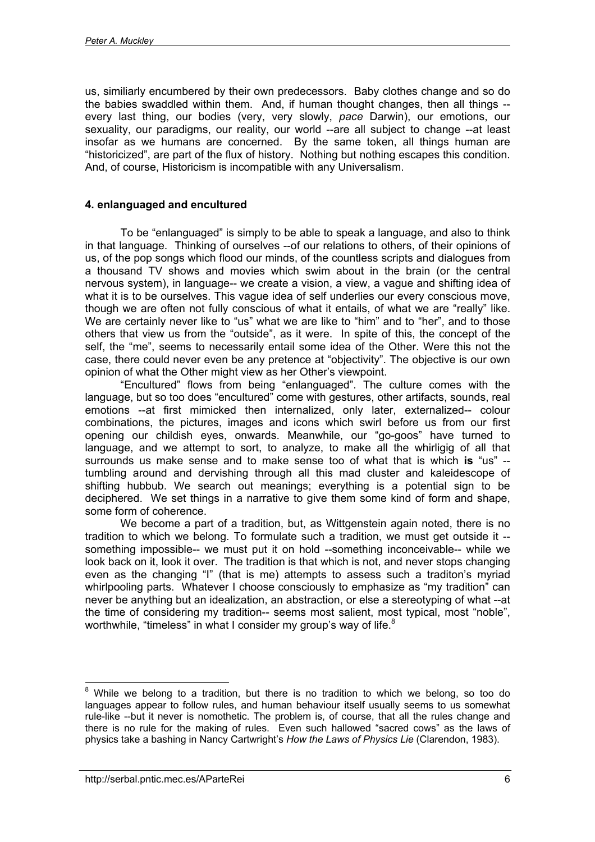us, similiarly encumbered by their own predecessors. Baby clothes change and so do the babies swaddled within them. And, if human thought changes, then all things - every last thing, our bodies (very, very slowly, *pace* Darwin), our emotions, our sexuality, our paradigms, our reality, our world --are all subject to change --at least insofar as we humans are concerned. By the same token, all things human are "historicized", are part of the flux of history. Nothing but nothing escapes this condition. And, of course, Historicism is incompatible with any Universalism.

## **4. enlanguaged and encultured**

To be "enlanguaged" is simply to be able to speak a language, and also to think in that language. Thinking of ourselves --of our relations to others, of their opinions of us, of the pop songs which flood our minds, of the countless scripts and dialogues from a thousand TV shows and movies which swim about in the brain (or the central nervous system), in language-- we create a vision, a view, a vague and shifting idea of what it is to be ourselves. This vague idea of self underlies our every conscious move, though we are often not fully conscious of what it entails, of what we are "really" like. We are certainly never like to "us" what we are like to "him" and to "her", and to those others that view us from the "outside", as it were. In spite of this, the concept of the self, the "me", seems to necessarily entail some idea of the Other. Were this not the case, there could never even be any pretence at "objectivity". The objective is our own opinion of what the Other might view as her Other's viewpoint.

"Encultured" flows from being "enlanguaged". The culture comes with the language, but so too does "encultured" come with gestures, other artifacts, sounds, real emotions --at first mimicked then internalized, only later, externalized-- colour combinations, the pictures, images and icons which swirl before us from our first opening our childish eyes, onwards. Meanwhile, our "go-goos" have turned to language, and we attempt to sort, to analyze, to make all the whirligig of all that surrounds us make sense and to make sense too of what that is which **is** "us" - tumbling around and dervishing through all this mad cluster and kaleidescope of shifting hubbub. We search out meanings; everything is a potential sign to be deciphered. We set things in a narrative to give them some kind of form and shape, some form of coherence.

We become a part of a tradition, but, as Wittgenstein again noted, there is no tradition to which we belong. To formulate such a tradition, we must get outside it - something impossible-- we must put it on hold --something inconceivable-- while we look back on it, look it over. The tradition is that which is not, and never stops changing even as the changing "I" (that is me) attempts to assess such a traditon's myriad whirlpooling parts. Whatever I choose consciously to emphasize as "my tradition" can never be anything but an idealization, an abstraction, or else a stereotyping of what --at the time of considering my tradition-- seems most salient, most typical, most "noble", worthwhile, "timeless" in what I consider my group's way of life.<sup>8</sup>

 $\overline{a}$  $8$  While we belong to a tradition, but there is no tradition to which we belong, so too do languages appear to follow rules, and human behaviour itself usually seems to us somewhat rule-like --but it never is nomothetic. The problem is, of course, that all the rules change and there is no rule for the making of rules. Even such hallowed "sacred cows" as the laws of physics take a bashing in Nancy Cartwright's *How the Laws of Physics Lie* (Clarendon, 1983).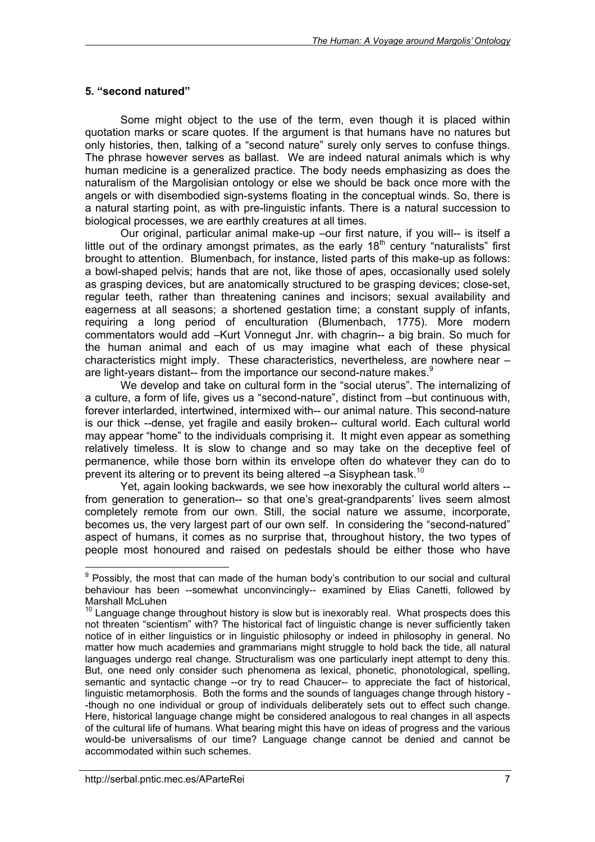### **5. "second natured"**

Some might object to the use of the term, even though it is placed within quotation marks or scare quotes. If the argument is that humans have no natures but only histories, then, talking of a "second nature" surely only serves to confuse things. The phrase however serves as ballast. We are indeed natural animals which is why human medicine is a generalized practice. The body needs emphasizing as does the naturalism of the Margolisian ontology or else we should be back once more with the angels or with disembodied sign-systems floating in the conceptual winds. So, there is a natural starting point, as with pre-linguistic infants. There is a natural succession to biological processes, we are earthly creatures at all times.

Our original, particular animal make-up –our first nature, if you will-- is itself a little out of the ordinary amongst primates, as the early  $18<sup>th</sup>$  century "naturalists" first brought to attention. Blumenbach, for instance, listed parts of this make-up as follows: a bowl-shaped pelvis; hands that are not, like those of apes, occasionally used solely as grasping devices, but are anatomically structured to be grasping devices; close-set, regular teeth, rather than threatening canines and incisors; sexual availability and eagerness at all seasons; a shortened gestation time; a constant supply of infants, requiring a long period of enculturation (Blumenbach, 1775). More modern commentators would add –Kurt Vonnegut Jnr. with chagrin-- a big brain. So much for the human animal and each of us may imagine what each of these physical characteristics might imply. These characteristics, nevertheless, are nowhere near – are light-years distant-- from the importance our second-nature makes.<sup>9</sup>

We develop and take on cultural form in the "social uterus". The internalizing of a culture, a form of life, gives us a "second-nature", distinct from –but continuous with, forever interlarded, intertwined, intermixed with-- our animal nature. This second-nature is our thick --dense, yet fragile and easily broken-- cultural world. Each cultural world may appear "home" to the individuals comprising it. It might even appear as something relatively timeless. It is slow to change and so may take on the deceptive feel of permanence, while those born within its envelope often do whatever they can do to prevent its altering or to prevent its being altered  $-a$  Sisyphean task.<sup>10</sup>

Yet, again looking backwards, we see how inexorably the cultural world alters - from generation to generation-- so that one's great-grandparents' lives seem almost completely remote from our own. Still, the social nature we assume, incorporate, becomes us, the very largest part of our own self. In considering the "second-natured" aspect of humans, it comes as no surprise that, throughout history, the two types of people most honoured and raised on pedestals should be either those who have

<sup>&</sup>lt;sup>9</sup> Possibly, the most that can made of the human body's contribution to our social and cultural behaviour has been --somewhat unconvincingly-- examined by Elias Canetti, followed by Marshall McLuhen

 $10$  Language change throughout history is slow but is inexorably real. What prospects does this not threaten "scientism" with? The historical fact of linguistic change is never sufficiently taken notice of in either linguistics or in linguistic philosophy or indeed in philosophy in general. No matter how much academies and grammarians might struggle to hold back the tide, all natural languages undergo real change. Structuralism was one particularly inept attempt to deny this. But, one need only consider such phenomena as lexical, phonetic, phonotological, spelling, semantic and syntactic change --or try to read Chaucer-- to appreciate the fact of historical, linguistic metamorphosis. Both the forms and the sounds of languages change through history - -though no one individual or group of individuals deliberately sets out to effect such change. Here, historical language change might be considered analogous to real changes in all aspects of the cultural life of humans. What bearing might this have on ideas of progress and the various would-be universalisms of our time? Language change cannot be denied and cannot be accommodated within such schemes.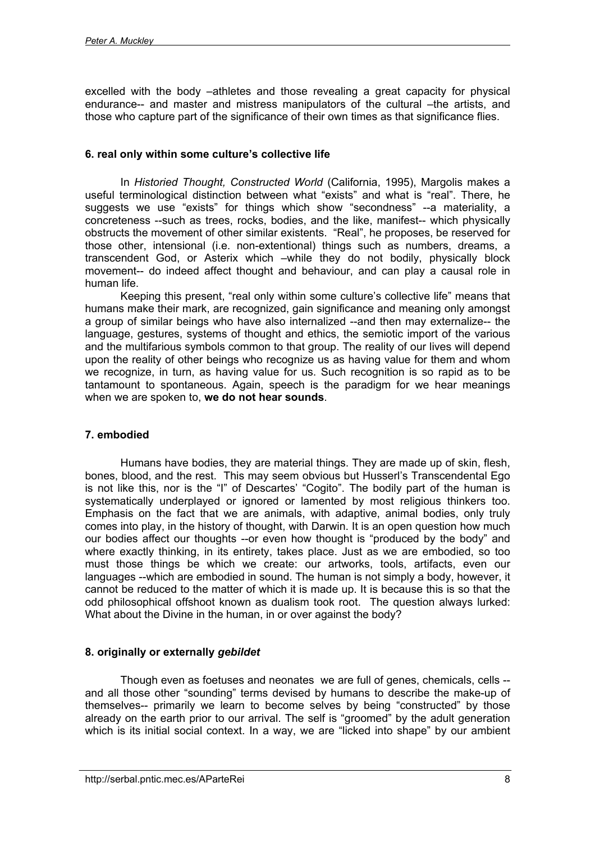excelled with the body –athletes and those revealing a great capacity for physical endurance-- and master and mistress manipulators of the cultural –the artists, and those who capture part of the significance of their own times as that significance flies.

### **6. real only within some culture's collective life**

In *Historied Thought, Constructed World* (California, 1995), Margolis makes a useful terminological distinction between what "exists" and what is "real". There, he suggests we use "exists" for things which show "secondness" --a materiality, a concreteness --such as trees, rocks, bodies, and the like, manifest-- which physically obstructs the movement of other similar existents. "Real", he proposes, be reserved for those other, intensional (i.e. non-extentional) things such as numbers, dreams, a transcendent God, or Asterix which –while they do not bodily, physically block movement-- do indeed affect thought and behaviour, and can play a causal role in human life.

Keeping this present, "real only within some culture's collective life" means that humans make their mark, are recognized, gain significance and meaning only amongst a group of similar beings who have also internalized --and then may externalize-- the language, gestures, systems of thought and ethics, the semiotic import of the various and the multifarious symbols common to that group. The reality of our lives will depend upon the reality of other beings who recognize us as having value for them and whom we recognize, in turn, as having value for us. Such recognition is so rapid as to be tantamount to spontaneous. Again, speech is the paradigm for we hear meanings when we are spoken to, **we do not hear sounds**.

## **7. embodied**

Humans have bodies, they are material things. They are made up of skin, flesh, bones, blood, and the rest. This may seem obvious but Husserl's Transcendental Ego is not like this, nor is the "I" of Descartes' "Cogito". The bodily part of the human is systematically underplayed or ignored or lamented by most religious thinkers too. Emphasis on the fact that we are animals, with adaptive, animal bodies, only truly comes into play, in the history of thought, with Darwin. It is an open question how much our bodies affect our thoughts --or even how thought is "produced by the body" and where exactly thinking, in its entirety, takes place. Just as we are embodied, so too must those things be which we create: our artworks, tools, artifacts, even our languages --which are embodied in sound. The human is not simply a body, however, it cannot be reduced to the matter of which it is made up. It is because this is so that the odd philosophical offshoot known as dualism took root. The question always lurked: What about the Divine in the human, in or over against the body?

## **8. originally or externally** *gebildet*

Though even as foetuses and neonates we are full of genes, chemicals, cells - and all those other "sounding" terms devised by humans to describe the make-up of themselves-- primarily we learn to become selves by being "constructed" by those already on the earth prior to our arrival. The self is "groomed" by the adult generation which is its initial social context. In a way, we are "licked into shape" by our ambient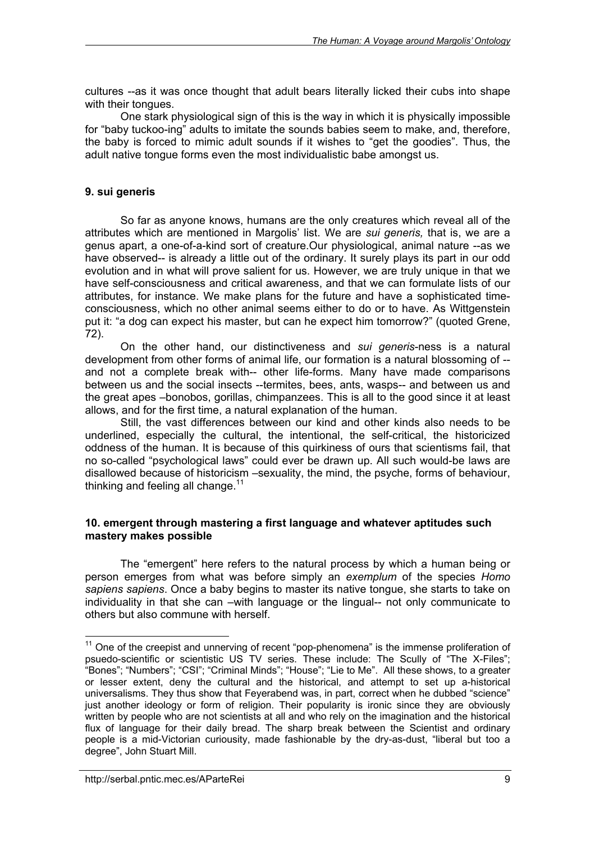cultures --as it was once thought that adult bears literally licked their cubs into shape with their tongues.

One stark physiological sign of this is the way in which it is physically impossible for "baby tuckoo-ing" adults to imitate the sounds babies seem to make, and, therefore, the baby is forced to mimic adult sounds if it wishes to "get the goodies". Thus, the adult native tongue forms even the most individualistic babe amongst us.

### **9. sui generis**

So far as anyone knows, humans are the only creatures which reveal all of the attributes which are mentioned in Margolis' list. We are *sui generis,* that is, we are a genus apart, a one-of-a-kind sort of creature.Our physiological, animal nature --as we have observed-- is already a little out of the ordinary. It surely plays its part in our odd evolution and in what will prove salient for us. However, we are truly unique in that we have self-consciousness and critical awareness, and that we can formulate lists of our attributes, for instance. We make plans for the future and have a sophisticated timeconsciousness, which no other animal seems either to do or to have. As Wittgenstein put it: "a dog can expect his master, but can he expect him tomorrow?" (quoted Grene, 72).

On the other hand, our distinctiveness and *sui generis*-ness is a natural development from other forms of animal life, our formation is a natural blossoming of - and not a complete break with-- other life-forms. Many have made comparisons between us and the social insects --termites, bees, ants, wasps-- and between us and the great apes –bonobos, gorillas, chimpanzees. This is all to the good since it at least allows, and for the first time, a natural explanation of the human.

Still, the vast differences between our kind and other kinds also needs to be underlined, especially the cultural, the intentional, the self-critical, the historicized oddness of the human. It is because of this quirkiness of ours that scientisms fail, that no so-called "psychological laws" could ever be drawn up. All such would-be laws are disallowed because of historicism –sexuality, the mind, the psyche, forms of behaviour, thinking and feeling all change. $11$ 

#### **10. emergent through mastering a first language and whatever aptitudes such mastery makes possible**

The "emergent" here refers to the natural process by which a human being or person emerges from what was before simply an *exemplum* of the species *Homo sapiens sapiens*. Once a baby begins to master its native tongue, she starts to take on individuality in that she can –with language or the lingual-- not only communicate to others but also commune with herself.

 $11$  One of the creepist and unnerving of recent "pop-phenomena" is the immense proliferation of psuedo-scientific or scientistic US TV series. These include: The Scully of "The X-Files"; "Bones"; "Numbers"; "CSI"; "Criminal Minds"; "House"; "Lie to Me". All these shows, to a greater or lesser extent, deny the cultural and the historical, and attempt to set up a-historical universalisms. They thus show that Feyerabend was, in part, correct when he dubbed "science" just another ideology or form of religion. Their popularity is ironic since they are obviously written by people who are not scientists at all and who rely on the imagination and the historical flux of language for their daily bread. The sharp break between the Scientist and ordinary people is a mid-Victorian curiousity, made fashionable by the dry-as-dust, "liberal but too a degree", John Stuart Mill.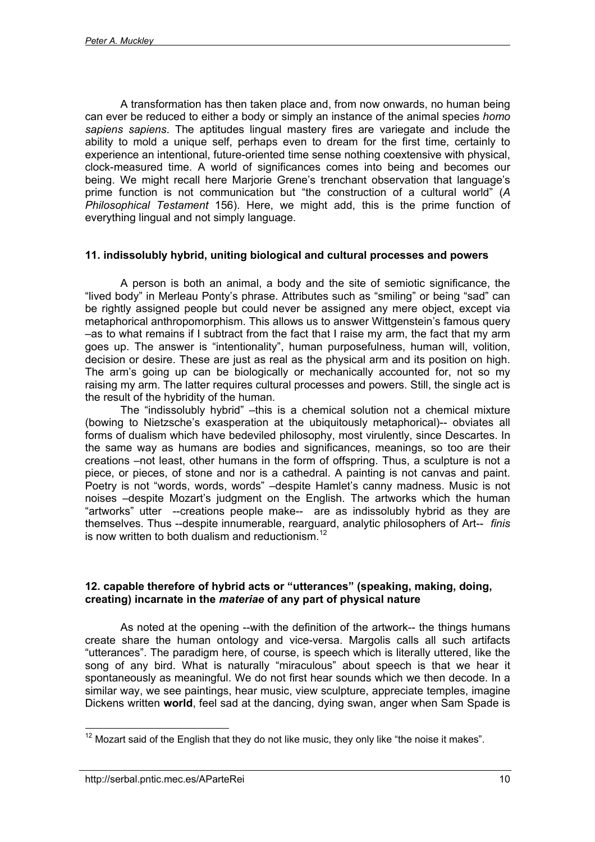A transformation has then taken place and, from now onwards, no human being can ever be reduced to either a body or simply an instance of the animal species *homo sapiens sapiens*. The aptitudes lingual mastery fires are variegate and include the ability to mold a unique self, perhaps even to dream for the first time, certainly to experience an intentional, future-oriented time sense nothing coextensive with physical, clock-measured time. A world of significances comes into being and becomes our being. We might recall here Marjorie Grene's trenchant observation that language's prime function is not communication but "the construction of a cultural world" (*A Philosophical Testament* 156). Here, we might add, this is the prime function of everything lingual and not simply language.

#### **11. indissolubly hybrid, uniting biological and cultural processes and powers**

A person is both an animal, a body and the site of semiotic significance, the "lived body" in Merleau Ponty's phrase. Attributes such as "smiling" or being "sad" can be rightly assigned people but could never be assigned any mere object, except via metaphorical anthropomorphism. This allows us to answer Wittgenstein's famous query –as to what remains if I subtract from the fact that I raise my arm, the fact that my arm goes up. The answer is "intentionality", human purposefulness, human will, volition, decision or desire. These are just as real as the physical arm and its position on high. The arm's going up can be biologically or mechanically accounted for, not so my raising my arm. The latter requires cultural processes and powers. Still, the single act is the result of the hybridity of the human.

The "indissolubly hybrid" –this is a chemical solution not a chemical mixture (bowing to Nietzsche's exasperation at the ubiquitously metaphorical)-- obviates all forms of dualism which have bedeviled philosophy, most virulently, since Descartes. In the same way as humans are bodies and significances, meanings, so too are their creations –not least, other humans in the form of offspring. Thus, a sculpture is not a piece, or pieces, of stone and nor is a cathedral. A painting is not canvas and paint. Poetry is not "words, words, words" –despite Hamlet's canny madness. Music is not noises –despite Mozart's judgment on the English. The artworks which the human "artworks" utter --creations people make-- are as indissolubly hybrid as they are themselves. Thus --despite innumerable, rearguard, analytic philosophers of Art-- *finis* is now written to both dualism and reductionism.<sup>12</sup>

#### **12. capable therefore of hybrid acts or "utterances" (speaking, making, doing, creating) incarnate in the** *materiae* **of any part of physical nature**

As noted at the opening --with the definition of the artwork-- the things humans create share the human ontology and vice-versa. Margolis calls all such artifacts "utterances". The paradigm here, of course, is speech which is literally uttered, like the song of any bird. What is naturally "miraculous" about speech is that we hear it spontaneously as meaningful. We do not first hear sounds which we then decode. In a similar way, we see paintings, hear music, view sculpture, appreciate temples, imagine Dickens written **world**, feel sad at the dancing, dying swan, anger when Sam Spade is

 $12$  Mozart said of the English that they do not like music, they only like "the noise it makes".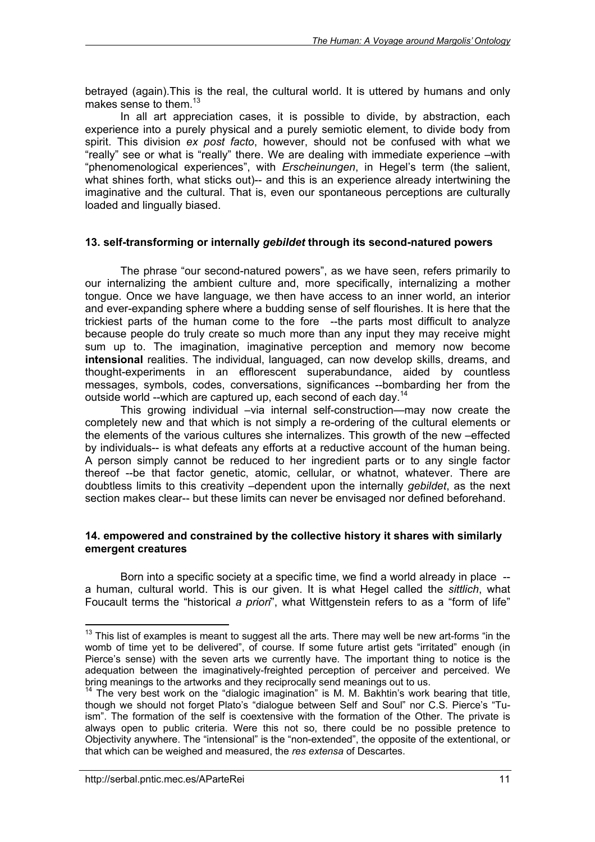betrayed (again).This is the real, the cultural world. It is uttered by humans and only makes sense to them. $^{13}$ 

In all art appreciation cases, it is possible to divide, by abstraction, each experience into a purely physical and a purely semiotic element, to divide body from spirit. This division *ex post facto*, however, should not be confused with what we "really" see or what is "really" there. We are dealing with immediate experience –with "phenomenological experiences", with *Erscheinungen*, in Hegel's term (the salient, what shines forth, what sticks out)-- and this is an experience already intertwining the imaginative and the cultural. That is, even our spontaneous perceptions are culturally loaded and lingually biased.

#### **13. self-transforming or internally** *gebildet* **through its second-natured powers**

The phrase "our second-natured powers", as we have seen, refers primarily to our internalizing the ambient culture and, more specifically, internalizing a mother tongue. Once we have language, we then have access to an inner world, an interior and ever-expanding sphere where a budding sense of self flourishes. It is here that the trickiest parts of the human come to the fore --the parts most difficult to analyze because people do truly create so much more than any input they may receive might sum up to. The imagination, imaginative perception and memory now become **intensional** realities. The individual, languaged, can now develop skills, dreams, and thought-experiments in an efflorescent superabundance, aided by countless messages, symbols, codes, conversations, significances --bombarding her from the outside world --which are captured up, each second of each day.<sup>14</sup>

This growing individual –via internal self-construction—may now create the completely new and that which is not simply a re-ordering of the cultural elements or the elements of the various cultures she internalizes. This growth of the new –effected by individuals-- is what defeats any efforts at a reductive account of the human being. A person simply cannot be reduced to her ingredient parts or to any single factor thereof --be that factor genetic, atomic, cellular, or whatnot, whatever. There are doubtless limits to this creativity –dependent upon the internally *gebildet*, as the next section makes clear-- but these limits can never be envisaged nor defined beforehand.

#### **14. empowered and constrained by the collective history it shares with similarly emergent creatures**

Born into a specific society at a specific time, we find a world already in place - a human, cultural world. This is our given. It is what Hegel called the *sittlich*, what Foucault terms the "historical *a priori*", what Wittgenstein refers to as a "form of life"

 $\overline{a}$  $13$  This list of examples is meant to suggest all the arts. There may well be new art-forms "in the womb of time yet to be delivered", of course. If some future artist gets "irritated" enough (in Pierce's sense) with the seven arts we currently have. The important thing to notice is the adequation between the imaginatively-freighted perception of perceiver and perceived. We bring meanings to the artworks and they reciprocally send meanings out to us.

 $14$  The very best work on the "dialogic imagination" is M. M. Bakhtin's work bearing that title, though we should not forget Plato's "dialogue between Self and Soul" nor C.S. Pierce's "Tuism". The formation of the self is coextensive with the formation of the Other. The private is always open to public criteria. Were this not so, there could be no possible pretence to Objectivity anywhere. The "intensional" is the "non-extended", the opposite of the extentional, or that which can be weighed and measured, the *res extensa* of Descartes.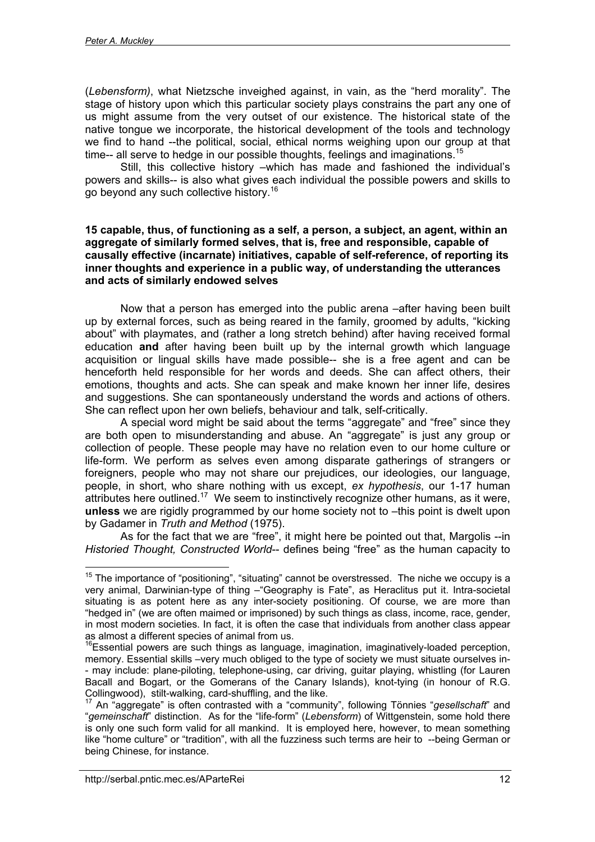(*Lebensform)*, what Nietzsche inveighed against, in vain, as the "herd morality". The stage of history upon which this particular society plays constrains the part any one of us might assume from the very outset of our existence. The historical state of the native tongue we incorporate, the historical development of the tools and technology we find to hand --the political, social, ethical norms weighing upon our group at that time-- all serve to hedge in our possible thoughts, feelings and imaginations.<sup>15</sup>

Still, this collective history –which has made and fashioned the individual's powers and skills-- is also what gives each individual the possible powers and skills to go beyond any such collective history.<sup>16</sup>

#### **15 capable, thus, of functioning as a self, a person, a subject, an agent, within an aggregate of similarly formed selves, that is, free and responsible, capable of causally effective (incarnate) initiatives, capable of self-reference, of reporting its inner thoughts and experience in a public way, of understanding the utterances and acts of similarly endowed selves**

Now that a person has emerged into the public arena –after having been built up by external forces, such as being reared in the family, groomed by adults, "kicking about" with playmates, and (rather a long stretch behind) after having received formal education **and** after having been built up by the internal growth which language acquisition or lingual skills have made possible-- she is a free agent and can be henceforth held responsible for her words and deeds. She can affect others, their emotions, thoughts and acts. She can speak and make known her inner life, desires and suggestions. She can spontaneously understand the words and actions of others. She can reflect upon her own beliefs, behaviour and talk, self-critically.

A special word might be said about the terms "aggregate" and "free" since they are both open to misunderstanding and abuse. An "aggregate" is just any group or collection of people. These people may have no relation even to our home culture or life-form. We perform as selves even among disparate gatherings of strangers or foreigners, people who may not share our prejudices, our ideologies, our language, people, in short, who share nothing with us except, *ex hypothesis*, our 1-17 human attributes here outlined.<sup>17</sup> We seem to instinctively recognize other humans, as it were, **unless** we are rigidly programmed by our home society not to –this point is dwelt upon by Gadamer in *Truth and Method* (1975).

As for the fact that we are "free", it might here be pointed out that, Margolis --in *Historied Thought, Constructed World*-- defines being "free" as the human capacity to

 $\overline{a}$  $15$  The importance of "positioning", "situating" cannot be overstressed. The niche we occupy is a very animal, Darwinian-type of thing –"Geography is Fate", as Heraclitus put it. Intra-societal situating is as potent here as any inter-society positioning. Of course, we are more than "hedged in" (we are often maimed or imprisoned) by such things as class, income, race, gender, in most modern societies. In fact, it is often the case that individuals from another class appear as almost a different species of animal from us.

<sup>&</sup>lt;sup>16</sup>Essential powers are such things as language, imagination, imaginatively-loaded perception, memory. Essential skills –very much obliged to the type of society we must situate ourselves in- - may include: plane-piloting, telephone-using, car driving, guitar playing, whistling (for Lauren Bacall and Bogart, or the Gomerans of the Canary Islands), knot-tying (in honour of R.G.<br>Collingwood), stilt-walking, card-shuffling, and the like.

An "aggregate" is often contrasted with a "community", following Tönnies "gesellschaft" and "*gemeinschaft*" distinction. As for the "life-form" (*Lebensform*) of Wittgenstein, some hold there is only one such form valid for all mankind. It is employed here, however, to mean something like "home culture" or "tradition", with all the fuzziness such terms are heir to --being German or being Chinese, for instance.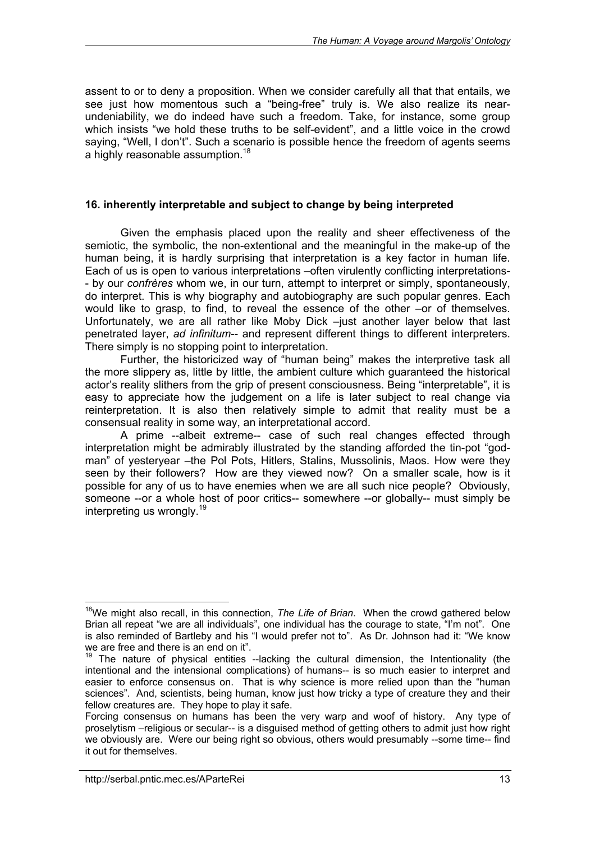assent to or to deny a proposition. When we consider carefully all that that entails, we see just how momentous such a "being-free" truly is. We also realize its nearundeniability, we do indeed have such a freedom. Take, for instance, some group which insists "we hold these truths to be self-evident", and a little voice in the crowd saying, "Well, I don't". Such a scenario is possible hence the freedom of agents seems a highly reasonable assumption.<sup>18</sup>

### **16. inherently interpretable and subject to change by being interpreted**

Given the emphasis placed upon the reality and sheer effectiveness of the semiotic, the symbolic, the non-extentional and the meaningful in the make-up of the human being, it is hardly surprising that interpretation is a key factor in human life. Each of us is open to various interpretations –often virulently conflicting interpretations- - by our *confrères* whom we, in our turn, attempt to interpret or simply, spontaneously, do interpret. This is why biography and autobiography are such popular genres. Each would like to grasp, to find, to reveal the essence of the other –or of themselves. Unfortunately, we are all rather like Moby Dick –just another layer below that last penetrated layer, *ad infinitum*-- and represent different things to different interpreters. There simply is no stopping point to interpretation.

Further, the historicized way of "human being" makes the interpretive task all the more slippery as, little by little, the ambient culture which guaranteed the historical actor's reality slithers from the grip of present consciousness. Being "interpretable", it is easy to appreciate how the judgement on a life is later subject to real change via reinterpretation. It is also then relatively simple to admit that reality must be a consensual reality in some way, an interpretational accord.

A prime --albeit extreme-- case of such real changes effected through interpretation might be admirably illustrated by the standing afforded the tin-pot "godman" of yesteryear –the Pol Pots, Hitlers, Stalins, Mussolinis, Maos. How were they seen by their followers? How are they viewed now? On a smaller scale, how is it possible for any of us to have enemies when we are all such nice people? Obviously, someone --or a whole host of poor critics-- somewhere --or globally-- must simply be interpreting us wrongly.<sup>19</sup>

 $\overline{a}$ <sup>18</sup>We might also recall, in this connection, *The Life of Brian*. When the crowd gathered below Brian all repeat "we are all individuals", one individual has the courage to state, "I'm not". One is also reminded of Bartleby and his "I would prefer not to". As Dr. Johnson had it: "We know we are free and there is an end on it".

 $19$  The nature of physical entities --lacking the cultural dimension, the Intentionality (the intentional and the intensional complications) of humans-- is so much easier to interpret and easier to enforce consensus on. That is why science is more relied upon than the "human sciences". And, scientists, being human, know just how tricky a type of creature they and their fellow creatures are. They hope to play it safe.

Forcing consensus on humans has been the very warp and woof of history. Any type of proselytism –religious or secular-- is a disguised method of getting others to admit just how right we obviously are. Were our being right so obvious, others would presumably --some time-- find it out for themselves.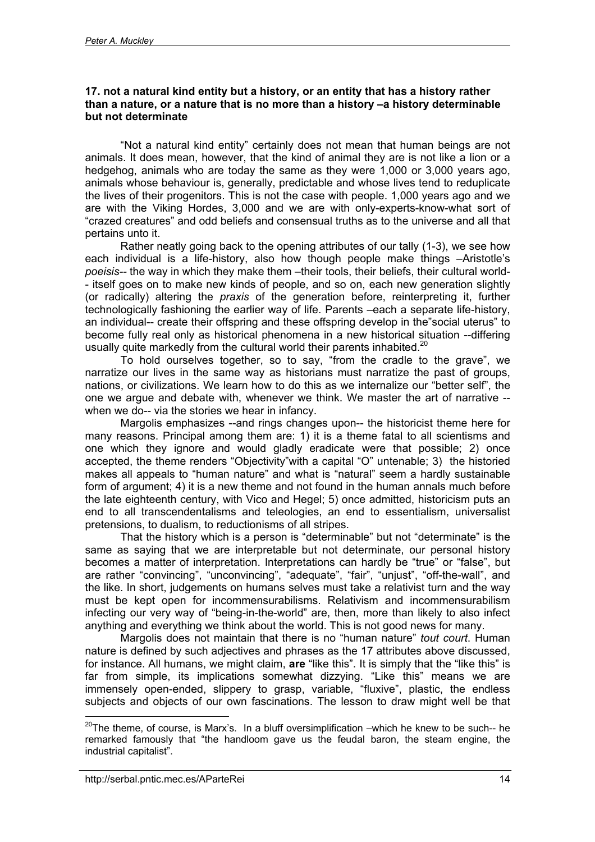#### **17. not a natural kind entity but a history, or an entity that has a history rather than a nature, or a nature that is no more than a history –a history determinable but not determinate**

"Not a natural kind entity" certainly does not mean that human beings are not animals. It does mean, however, that the kind of animal they are is not like a lion or a hedgehog, animals who are today the same as they were 1,000 or 3,000 years ago, animals whose behaviour is, generally, predictable and whose lives tend to reduplicate the lives of their progenitors. This is not the case with people. 1,000 years ago and we are with the Viking Hordes, 3,000 and we are with only-experts-know-what sort of "crazed creatures" and odd beliefs and consensual truths as to the universe and all that pertains unto it.

Rather neatly going back to the opening attributes of our tally (1-3), we see how each individual is a life-history, also how though people make things –Aristotle's *poeisis--* the way in which they make them –their tools, their beliefs, their cultural world- - itself goes on to make new kinds of people, and so on, each new generation slightly (or radically) altering the *praxis* of the generation before, reinterpreting it, further technologically fashioning the earlier way of life. Parents –each a separate life-history, an individual-- create their offspring and these offspring develop in the"social uterus" to become fully real only as historical phenomena in a new historical situation --differing usually quite markedly from the cultural world their parents inhabited.<sup>20</sup>

To hold ourselves together, so to say, "from the cradle to the grave", we narratize our lives in the same way as historians must narratize the past of groups, nations, or civilizations. We learn how to do this as we internalize our "better self", the one we argue and debate with, whenever we think. We master the art of narrative - when we do-- via the stories we hear in infancy.

Margolis emphasizes --and rings changes upon-- the historicist theme here for many reasons. Principal among them are: 1) it is a theme fatal to all scientisms and one which they ignore and would gladly eradicate were that possible; 2) once accepted, the theme renders "Objectivity"with a capital "O" untenable; 3) the historied makes all appeals to "human nature" and what is "natural" seem a hardly sustainable form of argument; 4) it is a new theme and not found in the human annals much before the late eighteenth century, with Vico and Hegel; 5) once admitted, historicism puts an end to all transcendentalisms and teleologies, an end to essentialism, universalist pretensions, to dualism, to reductionisms of all stripes.

That the history which is a person is "determinable" but not "determinate" is the same as saying that we are interpretable but not determinate, our personal history becomes a matter of interpretation. Interpretations can hardly be "true" or "false", but are rather "convincing", "unconvincing", "adequate", "fair", "unjust", "off-the-wall", and the like. In short, judgements on humans selves must take a relativist turn and the way must be kept open for incommensurabilisms. Relativism and incommensurabilism infecting our very way of "being-in-the-world" are, then, more than likely to also infect anything and everything we think about the world. This is not good news for many.

Margolis does not maintain that there is no "human nature" *tout court*. Human nature is defined by such adjectives and phrases as the 17 attributes above discussed, for instance. All humans, we might claim, **are** "like this". It is simply that the "like this" is far from simple, its implications somewhat dizzying. "Like this" means we are immensely open-ended, slippery to grasp, variable, "fluxive", plastic, the endless subjects and objects of our own fascinations. The lesson to draw might well be that

 $^{20}$ The theme, of course, is Marx's. In a bluff oversimplification –which he knew to be such-- he remarked famously that "the handloom gave us the feudal baron, the steam engine, the industrial capitalist".